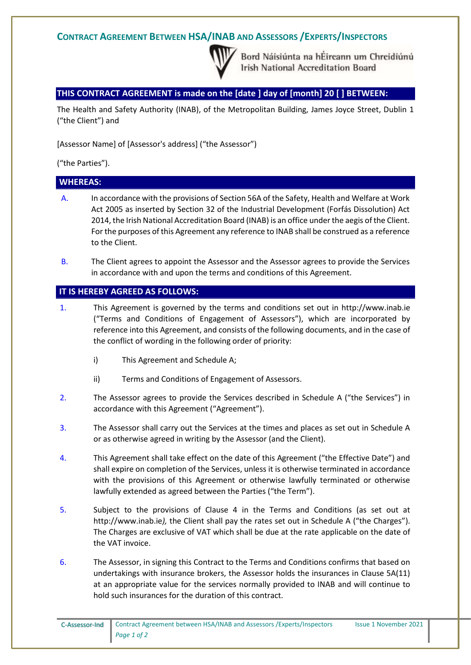## **CONTRACT AGREEMENT BETWEEN HSA/INAB AND ASSESSORS /EXPERTS/INSPECTORS**



Bord Náisiúnta na hÉireann um Chreidiúnú **Irish National Accreditation Board** 

### **THIS CONTRACT AGREEMENT is made on the [date ] day of [month] 20 [ ] BETWEEN:**

The Health and Safety Authority (INAB), of the Metropolitan Building, James Joyce Street, Dublin 1 ("the Client") and

[Assessor Name] of [Assessor's address] ("the Assessor")

("the Parties").

### **WHEREAS:**

- A. In accordance with the provisions of Section 56A of the Safety, Health and Welfare at Work Act 2005 as inserted by Section 32 of the Industrial Development (Forfás Dissolution) Act 2014, the Irish National Accreditation Board (INAB) is an office under the aegis of the Client. For the purposes of this Agreement any reference to INAB shall be construed as a reference to the Client.
- B. The Client agrees to appoint the Assessor and the Assessor agrees to provide the Services in accordance with and upon the terms and conditions of this Agreement.

#### **IT IS HEREBY AGREED AS FOLLOWS:**

- 1. This Agreement is governed by the terms and conditions set out in http://www.inab.ie ("Terms and Conditions of Engagement of Assessors"), which are incorporated by reference into this Agreement, and consists of the following documents, and in the case of the conflict of wording in the following order of priority:
	- i) This Agreement and Schedule A;
	- ii) Terms and Conditions of Engagement of Assessors.
- 2. The Assessor agrees to provide the Services described in Schedule A ("the Services") in accordance with this Agreement ("Agreement").
- 3. The Assessor shall carry out the Services at the times and places as set out in Schedule A or as otherwise agreed in writing by the Assessor (and the Client).
- 4. This Agreement shall take effect on the date of this Agreement ("the Effective Date") and shall expire on completion of the Services, unless it is otherwise terminated in accordance with the provisions of this Agreement or otherwise lawfully terminated or otherwise lawfully extended as agreed between the Parties ("the Term").
- 5. Subject to the provisions of Clause 4 in the Terms and Conditions (as set out at http://www.inab.ie*),* the Client shall pay the rates set out in Schedule A ("the Charges"). The Charges are exclusive of VAT which shall be due at the rate applicable on the date of the VAT invoice.
- 6. The Assessor, in signing this Contract to the Terms and Conditions confirms that based on undertakings with insurance brokers, the Assessor holds the insurances in Clause 5A(11) at an appropriate value for the services normally provided to INAB and will continue to hold such insurances for the duration of this contract.